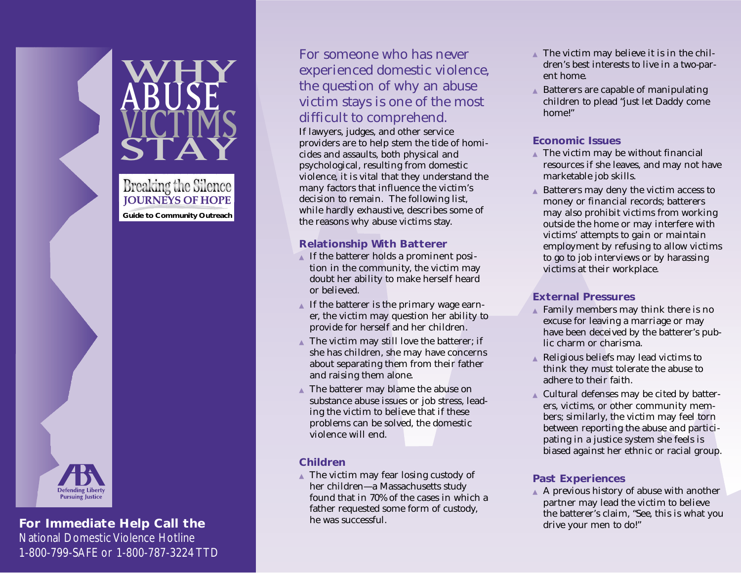WHY ABUSE VICTIMS STAY **Breaking the Silence JOURNEYS OF HOPE Guide to Community OutreachPursuing Justice** 

## **For Immediate Help Call the**

National Domestic Violence Hotline 1-800-799-SAFE or 1-800-787-3224 TTD

# For someone who has never experienced domestic violence, the question of why an abuse victim stays is one of the most difficult to comprehend.

If lawyers, judges, and other service providers are to help stem the tide of homicides and assaults, both physical and psychological, resulting from domestic violence, it is vital that they understand the many factors that influence the victim's decision to remain. The following list, while hardly exhaustive, describes some of the reasons why abuse victims stay.

#### **Relationship With Batterer**

- $\blacktriangle$  If the batterer holds a prominent position in the community, the victim may doubt her ability to make herself heard or believed.
- ▲ If the batterer is the primary wage earner, the victim may question her ability to provide for herself and her children.
- $\triangle$  The victim may still love the batterer; if she has children, she may have concerns about separating them from their father and raising them alone.
- ▲ The batterer may blame the abuse on substance abuse issues or job stress, leading the victim to believe that if these problems can be solved, the domestic violence will end.

#### **Children**

▲ The victim may fear losing custody of her children—a Massachusetts study found that in 70% of the cases in which a father requested some form of custody, he was successful.

- $\triangle$  The victim may believe it is in the children's best interests to live in a two-parent home.
- Batterers are capable of manipulating children to plead "just let Daddy come home!"

#### **Economic Issues**

- $\triangle$  The victim may be without financial resources if she leaves, and may not have marketable job skills.
- Batterers may deny the victim access to money or financial records; batterers may also prohibit victims from working outside the home or may interfere with victims' attempts to gain or maintain employment by refusing to allow victims to go to job interviews or by harassing victims at their workplace.

## **External Pressures**

- ▲ Family members may think there is no excuse for leaving a marriage or may have been deceived by the batterer's public charm or charisma.
- ▲ Religious beliefs may lead victims to think they must tolerate the abuse to adhere to their faith.
- ▲ Cultural defenses may be cited by batterers, victims, or other community members; similarly, the victim may feel torn between reporting the abuse and participating in a justice system she feels is biased against her ethnic or racial group.

#### **Past Experiences**

▲ A previous history of abuse with another partner may lead the victim to believe the batterer's claim, "See, this is what you drive your men to do!"